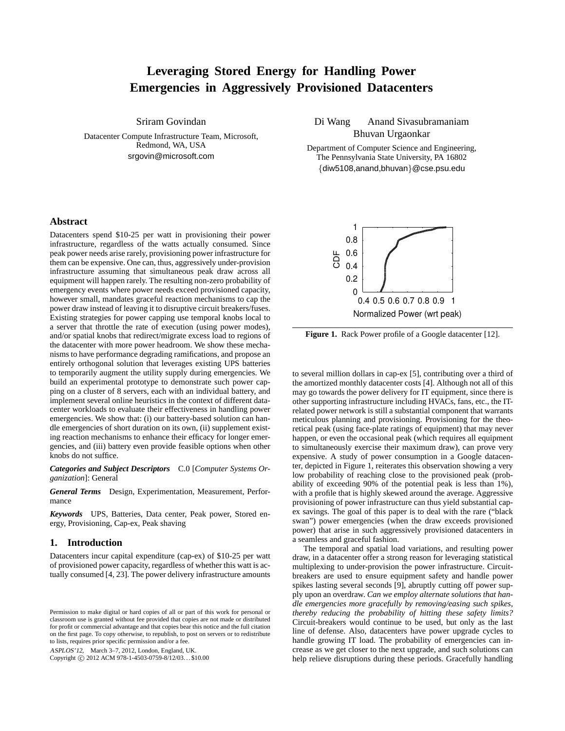# **Leveraging Stored Energy for Handling Power Emergencies in Aggressively Provisioned Datacenters**

Sriram Govindan

Datacenter Compute Infrastructure Team, Microsoft, Redmond, WA, USA srgovin@microsoft.com

**Abstract**

Datacenters spend \$10-25 per watt in provisioning their power infrastructure, regardless of the watts actually consumed. Since peak power needs arise rarely, provisioning power infrastructure for them can be expensive. One can, thus, aggressively under-provision infrastructure assuming that simultaneous peak draw across all equipment will happen rarely. The resulting non-zero probability of emergency events where power needs exceed provisioned capacity, however small, mandates graceful reaction mechanisms to cap the power draw instead of leaving it to disruptive circuit breakers/fuses. Existing strategies for power capping use temporal knobs local to a server that throttle the rate of execution (using power modes), and/or spatial knobs that redirect/migrate excess load to regions of the datacenter with more power headroom. We show these mechanisms to have performance degrading ramifications, and propose an entirely orthogonal solution that leverages existing UPS batteries to temporarily augment the utility supply during emergencies. We build an experimental prototype to demonstrate such power capping on a cluster of 8 servers, each with an individual battery, and implement several online heuristics in the context of different datacenter workloads to evaluate their effectiveness in handling power emergencies. We show that: (i) our battery-based solution can handle emergencies of short duration on its own, (ii) supplement existing reaction mechanisms to enhance their efficacy for longer emergencies, and (iii) battery even provide feasible options when other knobs do not suffice.

*Categories and Subject Descriptors* C.0 [*Computer Systems Organization*]: General

*General Terms* Design, Experimentation, Measurement, Performance

*Keywords* UPS, Batteries, Data center, Peak power, Stored energy, Provisioning, Cap-ex, Peak shaving

# **1. Introduction**

Datacenters incur capital expenditure (cap-ex) of \$10-25 per watt of provisioned power capacity, regardless of whether this watt is actually consumed [4, 23]. The power delivery infrastructure amounts

ASPLOS'12, March 3–7, 2012, London, England, UK.

Copyright © 2012 ACM 978-1-4503-0759-8/12/03...\$10.00

Di Wang Anand Sivasubramaniam Bhuvan Urgaonkar

Department of Computer Science and Engineering, The Pennsylvania State University, PA 16802 {diw5108,anand,bhuvan}@cse.psu.edu



**Figure 1.** Rack Power profile of a Google datacenter [12].

to several million dollars in cap-ex [5], contributing over a third of the amortized monthly datacenter costs [4]. Although not all of this may go towards the power delivery for IT equipment, since there is other supporting infrastructure including HVACs, fans, etc., the ITrelated power network is still a substantial component that warrants meticulous planning and provisioning. Provisioning for the theoretical peak (using face-plate ratings of equipment) that may never happen, or even the occasional peak (which requires all equipment to simultaneously exercise their maximum draw), can prove very expensive. A study of power consumption in a Google datacenter, depicted in Figure 1, reiterates this observation showing a very low probability of reaching close to the provisioned peak (probability of exceeding 90% of the potential peak is less than 1%), with a profile that is highly skewed around the average. Aggressive provisioning of power infrastructure can thus yield substantial capex savings. The goal of this paper is to deal with the rare ("black swan") power emergencies (when the draw exceeds provisioned power) that arise in such aggressively provisioned datacenters in a seamless and graceful fashion.

The temporal and spatial load variations, and resulting power draw, in a datacenter offer a strong reason for leveraging statistical multiplexing to under-provision the power infrastructure. Circuitbreakers are used to ensure equipment safety and handle power spikes lasting several seconds [9], abruptly cutting off power supply upon an overdraw. *Can we employ alternate solutions that handle emergencies more gracefully by removing/easing such spikes, thereby reducing the probability of hitting these safety limits?* Circuit-breakers would continue to be used, but only as the last line of defense. Also, datacenters have power upgrade cycles to handle growing IT load. The probability of emergencies can increase as we get closer to the next upgrade, and such solutions can help relieve disruptions during these periods. Gracefully handling

Permission to make digital or hard copies of all or part of this work for personal or classroom use is granted without fee provided that copies are not made or distributed for profit or commercial advantage and that copies bear this notice and the full citation on the first page. To copy otherwise, to republish, to post on servers or to redistribute to lists, requires prior specific permission and/or a fee.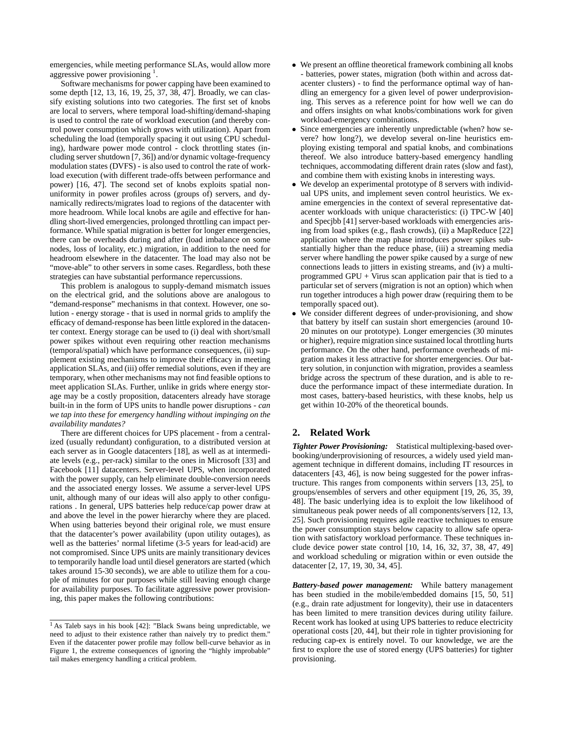emergencies, while meeting performance SLAs, would allow more aggressive power provisioning  $<sup>1</sup>$ .</sup>

Software mechanisms for power capping have been examined to some depth [12, 13, 16, 19, 25, 37, 38, 47]. Broadly, we can classify existing solutions into two categories. The first set of knobs are local to servers, where temporal load-shifting/demand-shaping is used to control the rate of workload execution (and thereby control power consumption which grows with utilization). Apart from scheduling the load (temporally spacing it out using CPU scheduling), hardware power mode control - clock throttling states (including server shutdown [7, 36]) and/or dynamic voltage-frequency modulation states (DVFS) - is also used to control the rate of workload execution (with different trade-offs between performance and power) [16, 47]. The second set of knobs exploits spatial nonuniformity in power profiles across (groups of) servers, and dynamically redirects/migrates load to regions of the datacenter with more headroom. While local knobs are agile and effective for handling short-lived emergencies, prolonged throttling can impact performance. While spatial migration is better for longer emergencies, there can be overheads during and after (load imbalance on some nodes, loss of locality, etc.) migration, in addition to the need for headroom elsewhere in the datacenter. The load may also not be "move-able" to other servers in some cases. Regardless, both these strategies can have substantial performance repercussions.

This problem is analogous to supply-demand mismatch issues on the electrical grid, and the solutions above are analogous to "demand-response" mechanisms in that context. However, one solution - energy storage - that is used in normal grids to amplify the efficacy of demand-response has been little explored in the datacenter context. Energy storage can be used to (i) deal with short/small power spikes without even requiring other reaction mechanisms (temporal/spatial) which have performance consequences, (ii) supplement existing mechanisms to improve their efficacy in meeting application SLAs, and (iii) offer remedial solutions, even if they are temporary, when other mechanisms may not find feasible options to meet application SLAs. Further, unlike in grids where energy storage may be a costly proposition, datacenters already have storage built-in in the form of UPS units to handle power disruptions - *can we tap into these for emergency handling without impinging on the availability mandates?*

There are different choices for UPS placement - from a centralized (usually redundant) configuration, to a distributed version at each server as in Google datacenters [18], as well as at intermediate levels (e.g., per-rack) similar to the ones in Microsoft [33] and Facebook [11] datacenters. Server-level UPS, when incorporated with the power supply, can help eliminate double-conversion needs and the associated energy losses. We assume a server-level UPS unit, although many of our ideas will also apply to other configurations . In general, UPS batteries help reduce/cap power draw at and above the level in the power hierarchy where they are placed. When using batteries beyond their original role, we must ensure that the datacenter's power availability (upon utility outages), as well as the batteries' normal lifetime (3-5 years for lead-acid) are not compromised. Since UPS units are mainly transitionary devices to temporarily handle load until diesel generators are started (which takes around 15-30 seconds), we are able to utilize them for a couple of minutes for our purposes while still leaving enough charge for availability purposes. To facilitate aggressive power provisioning, this paper makes the following contributions:

- We present an offline theoretical framework combining all knobs - batteries, power states, migration (both within and across datacenter clusters) - to find the performance optimal way of handling an emergency for a given level of power underprovisioning. This serves as a reference point for how well we can do and offers insights on what knobs/combinations work for given workload-emergency combinations.
- Since emergencies are inherently unpredictable (when? how severe? how long?), we develop several on-line heuristics employing existing temporal and spatial knobs, and combinations thereof. We also introduce battery-based emergency handling techniques, accommodating different drain rates (slow and fast), and combine them with existing knobs in interesting ways.
- We develop an experimental prototype of 8 servers with individual UPS units, and implement seven control heuristics. We examine emergencies in the context of several representative datacenter workloads with unique characteristics: (i) TPC-W [40] and Specjbb [41] server-based workloads with emergencies arising from load spikes (e.g., flash crowds), (ii) a MapReduce [22] application where the map phase introduces power spikes substantially higher than the reduce phase, (iii) a streaming media server where handling the power spike caused by a surge of new connections leads to jitters in existing streams, and (iv) a multiprogrammed GPU + Virus scan application pair that is tied to a particular set of servers (migration is not an option) which when run together introduces a high power draw (requiring them to be temporally spaced out).
- We consider different degrees of under-provisioning, and show that battery by itself can sustain short emergencies (around 10- 20 minutes on our prototype). Longer emergencies (30 minutes or higher), require migration since sustained local throttling hurts performance. On the other hand, performance overheads of migration makes it less attractive for shorter emergencies. Our battery solution, in conjunction with migration, provides a seamless bridge across the spectrum of these duration, and is able to reduce the performance impact of these intermediate duration. In most cases, battery-based heuristics, with these knobs, help us get within 10-20% of the theoretical bounds.

# **2. Related Work**

*Tighter Power Provisioning:* Statistical multiplexing-based overbooking/underprovisioning of resources, a widely used yield management technique in different domains, including IT resources in datacenters [43, 46], is now being suggested for the power infrastructure. This ranges from components within servers [13, 25], to groups/ensembles of servers and other equipment [19, 26, 35, 39, 48]. The basic underlying idea is to exploit the low likelihood of simultaneous peak power needs of all components/servers [12, 13, 25]. Such provisioning requires agile reactive techniques to ensure the power consumption stays below capacity to allow safe operation with satisfactory workload performance. These techniques include device power state control [10, 14, 16, 32, 37, 38, 47, 49] and workload scheduling or migration within or even outside the datacenter [2, 17, 19, 30, 34, 45].

*Battery-based power management:* While battery management has been studied in the mobile/embedded domains [15, 50, 51] (e.g., drain rate adjustment for longevity), their use in datacenters has been limited to mere transition devices during utility failure. Recent work has looked at using UPS batteries to reduce electricity operational costs [20, 44], but their role in tighter provisioning for reducing cap-ex is entirely novel. To our knowledge, we are the first to explore the use of stored energy (UPS batteries) for tighter provisioning.

<sup>&</sup>lt;sup>1</sup> As Taleb says in his book [42]: "Black Swans being unpredictable, we need to adjust to their existence rather than naively try to predict them." Even if the datacenter power profile may follow bell-curve behavior as in Figure 1, the extreme consequences of ignoring the "highly improbable" tail makes emergency handling a critical problem.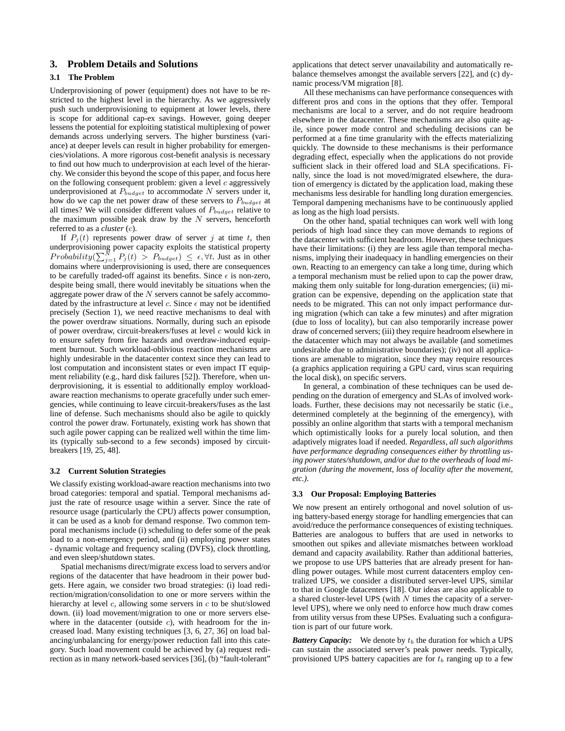#### **3. Problem Details and Solutions**

### **3.1 The Problem**

Underprovisioning of power (equipment) does not have to be restricted to the highest level in the hierarchy. As we aggressively push such underprovisioning to equipment at lower levels, there is scope for additional cap-ex savings. However, going deeper lessens the potential for exploiting statistical multiplexing of power demands across underlying servers. The higher burstiness (variance) at deeper levels can result in higher probability for emergencies/violations. A more rigorous cost-benefit analysis is necessary to find out how much to underprovision at each level of the hierarchy. We consider this beyond the scope of this paper, and focus here on the following consequent problem: given a level  $c$  aggressively underprovisioned at  $P_{budget}$  to accommodate N servers under it, how do we cap the net power draw of these servers to  $P_{budget}$  at all times? We will consider different values of  $P_{budget}$  relative to the maximum possible peak draw by the  $N$  servers, henceforth referred to as a *cluster* (c).

If  $P_j(t)$  represents power draw of server j at time t, then underprovisioning power capacity exploits the statistical property  $Probability(\sum_{j=1}^{N} P_j(t) > P_{budget}) \leq \epsilon, \forall t$ . Just as in other domains where underprovisioning is used, there are consequences to be carefully traded-off against its benefits. Since  $\epsilon$  is non-zero, despite being small, there would inevitably be situations when the aggregate power draw of the  $N$  servers cannot be safely accommodated by the infrastructure at level c. Since  $\epsilon$  may not be identified precisely (Section 1), we need reactive mechanisms to deal with the power overdraw situations. Normally, during such an episode of power overdraw, circuit-breakers/fuses at level c would kick in to ensure safety from fire hazards and overdraw-induced equipment burnout. Such workload-oblivious reaction mechanisms are highly undesirable in the datacenter context since they can lead to lost computation and inconsistent states or even impact IT equipment reliability (e.g., hard disk failures [52]). Therefore, when underprovisioning, it is essential to additionally employ workloadaware reaction mechanisms to operate gracefully under such emergencies, while continuing to leave circuit-breakers/fuses as the last line of defense. Such mechanisms should also be agile to quickly control the power draw. Fortunately, existing work has shown that such agile power capping can be realized well within the time limits (typically sub-second to a few seconds) imposed by circuitbreakers [19, 25, 48].

#### **3.2 Current Solution Strategies**

We classify existing workload-aware reaction mechanisms into two broad categories: temporal and spatial. Temporal mechanisms adjust the rate of resource usage within a server. Since the rate of resource usage (particularly the CPU) affects power consumption, it can be used as a knob for demand response. Two common temporal mechanisms include (i) scheduling to defer some of the peak load to a non-emergency period, and (ii) employing power states - dynamic voltage and frequency scaling (DVFS), clock throttling, and even sleep/shutdown states.

Spatial mechanisms direct/migrate excess load to servers and/or regions of the datacenter that have headroom in their power budgets. Here again, we consider two broad strategies: (i) load redirection/migration/consolidation to one or more servers within the hierarchy at level  $c$ , allowing some servers in  $c$  to be shut/slowed down. (ii) load movement/migration to one or more servers elsewhere in the datacenter (outside  $c$ ), with headroom for the increased load. Many existing techniques [3, 6, 27, 36] on load balancing/unbalancing for energy/power reduction fall into this category. Such load movement could be achieved by (a) request redirection as in many network-based services [36], (b) "fault-tolerant"

applications that detect server unavailability and automatically rebalance themselves amongst the available servers [22], and (c) dynamic process/VM migration [8].

All these mechanisms can have performance consequences with different pros and cons in the options that they offer. Temporal mechanisms are local to a server, and do not require headroom elsewhere in the datacenter. These mechanisms are also quite agile, since power mode control and scheduling decisions can be performed at a fine time granularity with the effects materializing quickly. The downside to these mechanisms is their performance degrading effect, especially when the applications do not provide sufficient slack in their offered load and SLA specifications. Finally, since the load is not moved/migrated elsewhere, the duration of emergency is dictated by the application load, making these mechanisms less desirable for handling long duration emergencies. Temporal dampening mechanisms have to be continuously applied as long as the high load persists.

On the other hand, spatial techniques can work well with long periods of high load since they can move demands to regions of the datacenter with sufficient headroom. However, these techniques have their limitations: (i) they are less agile than temporal mechanisms, implying their inadequacy in handling emergencies on their own. Reacting to an emergency can take a long time, during which a temporal mechanism must be relied upon to cap the power draw, making them only suitable for long-duration emergencies; (ii) migration can be expensive, depending on the application state that needs to be migrated. This can not only impact performance during migration (which can take a few minutes) and after migration (due to loss of locality), but can also temporarily increase power draw of concerned servers; (iii) they require headroom elsewhere in the datacenter which may not always be available (and sometimes undesirable due to administrative boundaries); (iv) not all applications are amenable to migration, since they may require resources (a graphics application requiring a GPU card, virus scan requiring the local disk), on specific servers.

In general, a combination of these techniques can be used depending on the duration of emergency and SLAs of involved workloads. Further, these decisions may not necessarily be static (i.e., determined completely at the beginning of the emergency), with possibly an online algorithm that starts with a temporal mechanism which optimistically looks for a purely local solution, and then adaptively migrates load if needed. *Regardless, all such algorithms have performance degrading consequences either by throttling using power states/shutdown, and/or due to the overheads of load migration (during the movement, loss of locality after the movement, etc.).*

#### **3.3 Our Proposal: Employing Batteries**

We now present an entirely orthogonal and novel solution of using battery-based energy storage for handling emergencies that can avoid/reduce the performance consequences of existing techniques. Batteries are analogous to buffers that are used in networks to smoothen out spikes and alleviate mismatches between workload demand and capacity availability. Rather than additional batteries, we propose to use UPS batteries that are already present for handling power outages. While most current datacenters employ centralized UPS, we consider a distributed server-level UPS, similar to that in Google datacenters [18]. Our ideas are also applicable to a shared cluster-level UPS (with  $N$  times the capacity of a serverlevel UPS), where we only need to enforce how much draw comes from utility versus from these UPSes. Evaluating such a configuration is part of our future work.

*Battery Capacity:* We denote by  $t_b$  the duration for which a UPS can sustain the associated server's peak power needs. Typically, provisioned UPS battery capacities are for  $t<sub>b</sub>$  ranging up to a few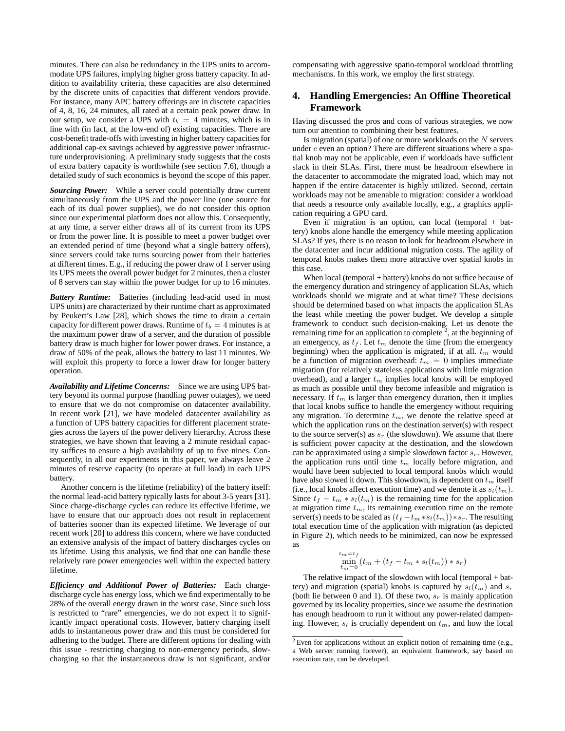minutes. There can also be redundancy in the UPS units to accommodate UPS failures, implying higher gross battery capacity. In addition to availability criteria, these capacities are also determined by the discrete units of capacities that different vendors provide. For instance, many APC battery offerings are in discrete capacities of 4, 8, 16, 24 minutes, all rated at a certain peak power draw. In our setup, we consider a UPS with  $t_b = 4$  minutes, which is in line with (in fact, at the low-end of) existing capacities. There are cost-benefit trade-offs with investing in higher battery capacities for additional cap-ex savings achieved by aggressive power infrastructure underprovisioning. A preliminary study suggests that the costs of extra battery capacity is worthwhile (see section 7.6), though a detailed study of such economics is beyond the scope of this paper.

*Sourcing Power:* While a server could potentially draw current simultaneously from the UPS and the power line (one source for each of its dual power supplies), we do not consider this option since our experimental platform does not allow this. Consequently, at any time, a server either draws all of its current from its UPS or from the power line. It is possible to meet a power budget over an extended period of time (beyond what a single battery offers), since servers could take turns sourcing power from their batteries at different times. E.g., if reducing the power draw of 1 server using its UPS meets the overall power budget for 2 minutes, then a cluster of 8 servers can stay within the power budget for up to 16 minutes.

*Battery Runtime:* Batteries (including lead-acid used in most UPS units) are characterized by their runtime chart as approximated by Peukert's Law [28], which shows the time to drain a certain capacity for different power draws. Runtime of  $t_b = 4$  minutes is at the maximum power draw of a server, and the duration of possible battery draw is much higher for lower power draws. For instance, a draw of 50% of the peak, allows the battery to last 11 minutes. We will exploit this property to force a lower draw for longer battery operation.

*Availability and Lifetime Concerns:* Since we are using UPS battery beyond its normal purpose (handling power outages), we need to ensure that we do not compromise on datacenter availability. In recent work [21], we have modeled datacenter availability as a function of UPS battery capacities for different placement strategies across the layers of the power delivery hierarchy. Across these strategies, we have shown that leaving a 2 minute residual capacity suffices to ensure a high availability of up to five nines. Consequently, in all our experiments in this paper, we always leave 2 minutes of reserve capacity (to operate at full load) in each UPS battery.

Another concern is the lifetime (reliability) of the battery itself: the normal lead-acid battery typically lasts for about 3-5 years [31]. Since charge-discharge cycles can reduce its effective lifetime, we have to ensure that our approach does not result in replacement of batteries sooner than its expected lifetime. We leverage of our recent work [20] to address this concern, where we have conducted an extensive analysis of the impact of battery discharges cycles on its lifetime. Using this analysis, we find that one can handle these relatively rare power emergencies well within the expected battery lifetime.

*Efficiency and Additional Power of Batteries:* Each chargedischarge cycle has energy loss, which we find experimentally to be 28% of the overall energy drawn in the worst case. Since such loss is restricted to "rare" emergencies, we do not expect it to significantly impact operational costs. However, battery charging itself adds to instantaneous power draw and this must be considered for adhering to the budget. There are different options for dealing with this issue - restricting charging to non-emergency periods, slowcharging so that the instantaneous draw is not significant, and/or compensating with aggressive spatio-temporal workload throttling mechanisms. In this work, we employ the first strategy.

# **4. Handling Emergencies: An Offline Theoretical Framework**

Having discussed the pros and cons of various strategies, we now turn our attention to combining their best features.

Is migration (spatial) of one or more workloads on the  $N$  servers under  $c$  even an option? There are different situations where a spatial knob may not be applicable, even if workloads have sufficient slack in their SLAs. First, there must be headroom elsewhere in the datacenter to accommodate the migrated load, which may not happen if the entire datacenter is highly utilized. Second, certain workloads may not be amenable to migration: consider a workload that needs a resource only available locally, e.g., a graphics application requiring a GPU card.

Even if migration is an option, can local (temporal + battery) knobs alone handle the emergency while meeting application SLAs? If yes, there is no reason to look for headroom elsewhere in the datacenter and incur additional migration costs. The agility of temporal knobs makes them more attractive over spatial knobs in this case.

When local (temporal + battery) knobs do not suffice because of the emergency duration and stringency of application SLAs, which workloads should we migrate and at what time? These decisions should be determined based on what impacts the application SLAs the least while meeting the power budget. We develop a simple framework to conduct such decision-making. Let us denote the remaining time for an application to complete<sup>2</sup>, at the beginning of an emergency, as  $t_f$ . Let  $t_m$  denote the time (from the emergency beginning) when the application is migrated, if at all.  $t_m$  would be a function of migration overhead:  $t_m = 0$  implies immediate migration (for relatively stateless applications with little migration overhead), and a larger  $t_m$  implies local knobs will be employed as much as possible until they become infeasible and migration is necessary. If  $t_m$  is larger than emergency duration, then it implies that local knobs suffice to handle the emergency without requiring any migration. To determine  $t_m$ , we denote the relative speed at which the application runs on the destination server(s) with respect to the source server(s) as  $s_r$  (the slowdown). We assume that there is sufficient power capacity at the destination, and the slowdown can be approximated using a simple slowdown factor  $s_r$ . However, the application runs until time  $t_m$  locally before migration, and would have been subjected to local temporal knobs which would have also slowed it down. This slowdown, is dependent on  $t_m$  itself (i.e., local knobs affect execution time) and we denote it as  $s_l(t_m)$ . Since  $t_f - t_m * s_l(t_m)$  is the remaining time for the application at migration time  $t_m$ , its remaining execution time on the remote server(s) needs to be scaled as  $(t_f - t_m * s_l(t_m)) * s_r$ . The resulting total execution time of the application with migration (as depicted in Figure 2), which needs to be minimized, can now be expressed as

$$
\min_{t_m=0}^{t_m=t_f} (t_m + (t_f - t_m * s_l(t_m)) * s_r)
$$

The relative impact of the slowdown with local (temporal + battery) and migration (spatial) knobs is captured by  $s_l(t_m)$  and  $s_r$ (both lie between 0 and 1). Of these two,  $s_r$  is mainly application governed by its locality properties, since we assume the destination has enough headroom to run it without any power-related dampening. However,  $s_l$  is crucially dependent on  $t_m$ , and how the local

<sup>2</sup> Even for applications without an explicit notion of remaining time (e.g., a Web server running forever), an equivalent framework, say based on execution rate, can be developed.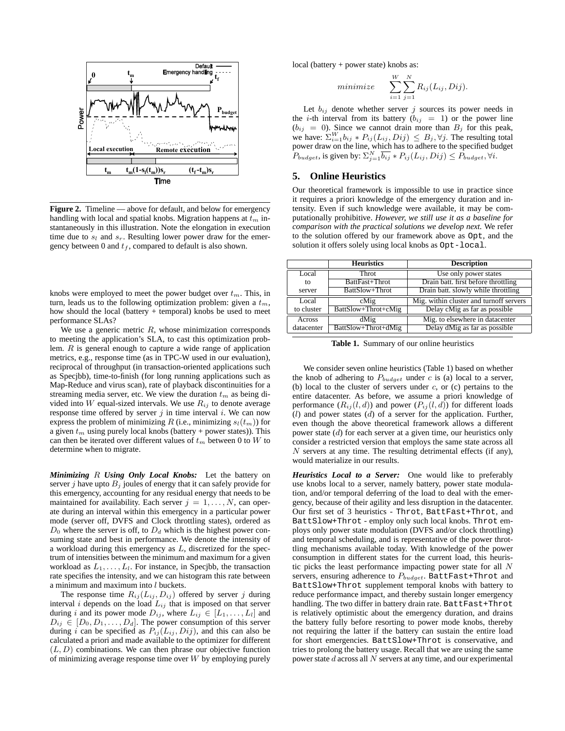

**Figure 2.** Timeline — above for default, and below for emergency handling with local and spatial knobs. Migration happens at  $t_m$  instantaneously in this illustration. Note the elongation in execution time due to  $s_l$  and  $s_r$ . Resulting lower power draw for the emergency between 0 and  $t_f$ , compared to default is also shown.

knobs were employed to meet the power budget over  $t_m$ . This, in turn, leads us to the following optimization problem: given a  $t<sub>m</sub>$ , how should the local (battery + temporal) knobs be used to meet performance SLAs?

We use a generic metric  $R$ , whose minimization corresponds to meeting the application's SLA, to cast this optimization problem.  $R$  is general enough to capture a wide range of application metrics, e.g., response time (as in TPC-W used in our evaluation), reciprocal of throughput (in transaction-oriented applications such as Specjbb), time-to-finish (for long running applications such as Map-Reduce and virus scan), rate of playback discontinuities for a streaming media server, etc. We view the duration  $t_m$  as being divided into W equal-sized intervals. We use  $R_{ij}$  to denote average response time offered by server  $j$  in time interval  $i$ . We can now express the problem of minimizing R (i.e., minimizing  $s_l(t_m)$ ) for a given  $t_m$  using purely local knobs (battery + power states)). This can then be iterated over different values of  $t_m$  between 0 to W to determine when to migrate.

*Minimizing* R *Using Only Local Knobs:* Let the battery on server j have upto  $B_i$  joules of energy that it can safely provide for this emergency, accounting for any residual energy that needs to be maintained for availability. Each server  $j = 1, \ldots, N$ , can operate during an interval within this emergency in a particular power mode (server off, DVFS and Clock throttling states), ordered as  $D_0$  where the server is off, to  $D_d$  which is the highest power consuming state and best in performance. We denote the intensity of a workload during this emergency as  $L$ , discretized for the spectrum of intensities between the minimum and maximum for a given workload as  $L_1, \ldots, L_l$ . For instance, in Specjbb, the transaction rate specifies the intensity, and we can histogram this rate between a minimum and maximum into l buckets.

The response time  $R_{ij}(L_{ij}, D_{ij})$  offered by server j during interval i depends on the load  $L_{ij}$  that is imposed on that server during i and its power mode  $D_{ij}$ , where  $L_{ij} \in [L_1, \ldots, L_l]$  and  $D_{ij} \in [D_0, D_1, \ldots, D_d]$ . The power consumption of this server during i can be specified as  $P_{ij}(L_{ij}, D_{ij})$ , and this can also be calculated a priori and made available to the optimizer for different  $(L, D)$  combinations. We can then phrase our objective function of minimizing average response time over  $W$  by employing purely

local (battery + power state) knobs as:

$$
minimize \sum_{i=1}^{W} \sum_{j=1}^{N} R_{ij}(L_{ij}, D{ij}).
$$

Let  $b_{ij}$  denote whether server j sources its power needs in the *i*-th interval from its battery  $(b_{ij} = 1)$  or the power line  $(b_{ij} = 0)$ . Since we cannot drain more than  $B_j$  for this peak, we have:  $\Sigma_{i=1}^W b_{ij} * P_{ij}(L_{ij}, Dij) \leq B_j, \forall j$ . The resulting total power draw on the line, which has to adhere to the specified budget  $P_{budget}$ , is given by:  $\sum_{j=1}^{N} \overline{b_{ij}} * P_{ij}(L_{ij}, Dij) \leq P_{budget}, \forall i$ .

# **5. Online Heuristics**

Our theoretical framework is impossible to use in practice since it requires a priori knowledge of the emergency duration and intensity. Even if such knowledge were available, it may be computationally prohibitive. *However, we still use it as a baseline for comparison with the practical solutions we develop next.* We refer to the solution offered by our framework above as Opt, and the solution it offers solely using local knobs as Opt-local.

|            | <b>Heuristics</b>   | <b>Description</b>                      |  |  |
|------------|---------------------|-----------------------------------------|--|--|
| Local      | <b>Throt</b>        | Use only power states                   |  |  |
| tο         | BattFast+Throt      | Drain batt. first before throttling     |  |  |
| server     | BattSlow+Throt      | Drain batt. slowly while throttling     |  |  |
| Local      | cMig                | Mig. within cluster and turnoff servers |  |  |
| to cluster | BattSlow+Throt+cMig | Delay cMig as far as possible           |  |  |
| Across     | dMig                | Mig. to elsewhere in datacenter         |  |  |
| datacenter | BattSlow+Throt+dMig | Delay dMig as far as possible           |  |  |

**Table 1.** Summary of our online heuristics

We consider seven online heuristics (Table 1) based on whether the knob of adhering to  $P_{budget}$  under c is (a) local to a server, (b) local to the cluster of servers under  $c$ , or (c) pertains to the entire datacenter. As before, we assume a priori knowledge of performance  $(R_{ij}(l, d))$  and power  $(P_{ij}(l, d))$  for different loads  $(l)$  and power states  $(d)$  of a server for the application. Further, even though the above theoretical framework allows a different power state (d) for each server at a given time, our heuristics only consider a restricted version that employs the same state across all  $N$  servers at any time. The resulting detrimental effects (if any), would materialize in our results.

*Heuristics Local to a Server:* One would like to preferably use knobs local to a server, namely battery, power state modulation, and/or temporal deferring of the load to deal with the emergency, because of their agility and less disruption in the datacenter. Our first set of 3 heuristics - Throt, BattFast+Throt, and BattSlow+Throt - employ only such local knobs. Throt employs only power state modulation (DVFS and/or clock throttling) and temporal scheduling, and is representative of the power throttling mechanisms available today. With knowledge of the power consumption in different states for the current load, this heuristic picks the least performance impacting power state for all  $N$ servers, ensuring adherence to  $P_{budget}$ . BattFast+Throt and BattSlow+Throt supplement temporal knobs with battery to reduce performance impact, and thereby sustain longer emergency handling. The two differ in battery drain rate. BattFast+Throt is relatively optimistic about the emergency duration, and drains the battery fully before resorting to power mode knobs, thereby not requiring the latter if the battery can sustain the entire load for short emergencies. BattSlow+Throt is conservative, and tries to prolong the battery usage. Recall that we are using the same power state  $d$  across all  $N$  servers at any time, and our experimental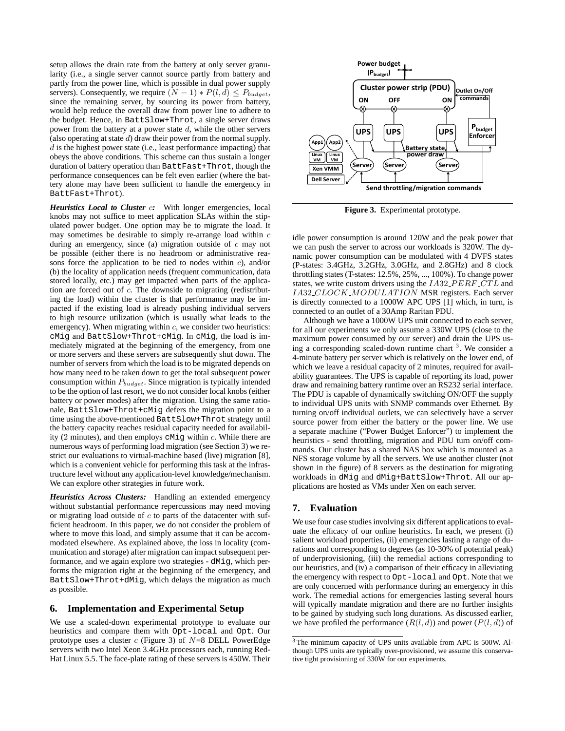setup allows the drain rate from the battery at only server granularity (i.e., a single server cannot source partly from battery and partly from the power line, which is possible in dual power supply servers). Consequently, we require  $(N - 1) * P(l, d) \leq P_{budget}$ , since the remaining server, by sourcing its power from battery, would help reduce the overall draw from power line to adhere to the budget. Hence, in BattSlow+Throt, a single server draws power from the battery at a power state d, while the other servers (also operating at state  $d$ ) draw their power from the normal supply.  $d$  is the highest power state (i.e., least performance impacting) that obeys the above conditions. This scheme can thus sustain a longer duration of battery operation than BattFast+Throt, though the performance consequences can be felt even earlier (where the battery alone may have been sufficient to handle the emergency in BattFast+Throt).

*Heuristics Local to Cluster c:* With longer emergencies, local knobs may not suffice to meet application SLAs within the stipulated power budget. One option may be to migrate the load. It may sometimes be desirable to simply re-arrange load within  $c$ during an emergency, since (a) migration outside of  $c$  may not be possible (either there is no headroom or administrative reasons force the application to be tied to nodes within c), and/or (b) the locality of application needs (frequent communication, data stored locally, etc.) may get impacted when parts of the application are forced out of c. The downside to migrating (redistributing the load) within the cluster is that performance may be impacted if the existing load is already pushing individual servers to high resource utilization (which is usually what leads to the emergency). When migrating within  $c$ , we consider two heuristics: cMig and BattSlow+Throt+cMig. In cMig, the load is immediately migrated at the beginning of the emergency, from one or more servers and these servers are subsequently shut down. The number of servers from which the load is to be migrated depends on how many need to be taken down to get the total subsequent power consumption within  $P_{budget}$ . Since migration is typically intended to be the option of last resort, we do not consider local knobs (either battery or power modes) after the migration. Using the same rationale, BattSlow+Throt+cMig defers the migration point to a time using the above-mentioned BattSlow+Throt strategy until the battery capacity reaches residual capacity needed for availability (2 minutes), and then employs cMig within c. While there are numerous ways of performing load migration (see Section 3) we restrict our evaluations to virtual-machine based (live) migration [8], which is a convenient vehicle for performing this task at the infrastructure level without any application-level knowledge/mechanism. We can explore other strategies in future work.

*Heuristics Across Clusters:* Handling an extended emergency without substantial performance repercussions may need moving or migrating load outside of  $c$  to parts of the datacenter with sufficient headroom. In this paper, we do not consider the problem of where to move this load, and simply assume that it can be accommodated elsewhere. As explained above, the loss in locality (communication and storage) after migration can impact subsequent performance, and we again explore two strategies - dMig, which performs the migration right at the beginning of the emergency, and BattSlow+Throt+dMig, which delays the migration as much as possible.

## **6. Implementation and Experimental Setup**

We use a scaled-down experimental prototype to evaluate our heuristics and compare them with Opt-local and Opt. Our prototype uses a cluster  $c$  (Figure 3) of  $N=8$  DELL PowerEdge servers with two Intel Xeon 3.4GHz processors each, running Red-Hat Linux 5.5. The face-plate rating of these servers is 450W. Their



**Figure 3.** Experimental prototype.

idle power consumption is around 120W and the peak power that we can push the server to across our workloads is 320W. The dynamic power consumption can be modulated with 4 DVFS states (P-states: 3.4GHz, 3.2GHz, 3.0GHz, and 2.8GHz) and 8 clock throttling states (T-states: 12.5%, 25%, ..., 100%). To change power states, we write custom drivers using the  $IA32-PERF_-CTL$  and IA32 CLOCK MODULATION MSR registers. Each server is directly connected to a 1000W APC UPS [1] which, in turn, is connected to an outlet of a 30Amp Raritan PDU.

Although we have a 1000W UPS unit connected to each server, for all our experiments we only assume a 330W UPS (close to the maximum power consumed by our server) and drain the UPS using a corresponding scaled-down runtime chart <sup>3</sup>. We consider a 4-minute battery per server which is relatively on the lower end, of which we leave a residual capacity of 2 minutes, required for availability guarantees. The UPS is capable of reporting its load, power draw and remaining battery runtime over an RS232 serial interface. The PDU is capable of dynamically switching ON/OFF the supply to individual UPS units with SNMP commands over Ethernet. By turning on/off individual outlets, we can selectively have a server source power from either the battery or the power line. We use a separate machine ("Power Budget Enforcer") to implement the heuristics - send throttling, migration and PDU turn on/off commands. Our cluster has a shared NAS box which is mounted as a NFS storage volume by all the servers. We use another cluster (not shown in the figure) of 8 servers as the destination for migrating workloads in dMig and dMig+BattSlow+Throt. All our applications are hosted as VMs under Xen on each server.

## **7. Evaluation**

We use four case studies involving six different applications to evaluate the efficacy of our online heuristics. In each, we present (i) salient workload properties, (ii) emergencies lasting a range of durations and corresponding to degrees (as 10-30% of potential peak) of underprovisioning, (iii) the remedial actions corresponding to our heuristics, and (iv) a comparison of their efficacy in alleviating the emergency with respect to Opt-local and Opt. Note that we are only concerned with performance during an emergency in this work. The remedial actions for emergencies lasting several hours will typically mandate migration and there are no further insights to be gained by studying such long durations. As discussed earlier, we have profiled the performance  $(R(l, d))$  and power  $(P(l, d))$  of

<sup>3</sup> The minimum capacity of UPS units available from APC is 500W. Although UPS units are typically over-provisioned, we assume this conservative tight provisioning of 330W for our experiments.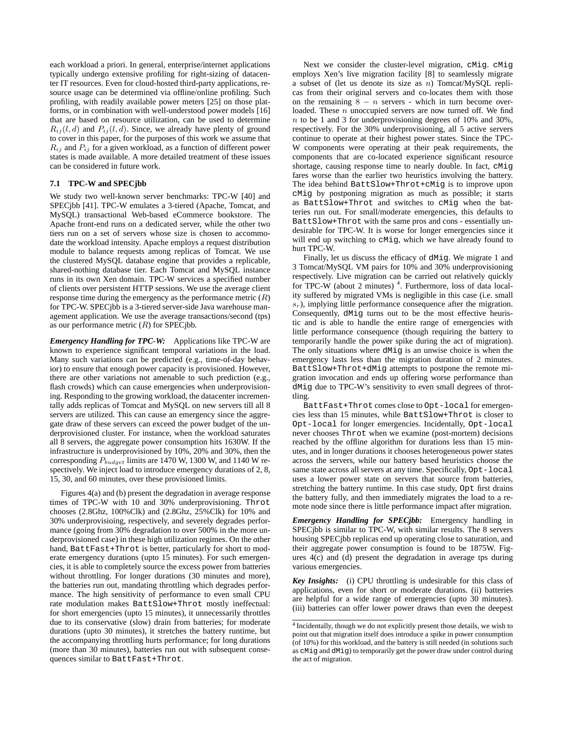each workload a priori. In general, enterprise/internet applications typically undergo extensive profiling for right-sizing of datacenter IT resources. Even for cloud-hosted third-party applications, resource usage can be determined via offline/online profiling. Such profiling, with readily available power meters [25] on those platforms, or in combination with well-understood power models [16] that are based on resource utilization, can be used to determine  $R_{ii}(l, d)$  and  $P_{ii}(l, d)$ . Since, we already have plenty of ground to cover in this paper, for the purposes of this work we assume that  $R_{ij}$  and  $P_{ij}$  for a given workload, as a function of different power states is made available. A more detailed treatment of these issues can be considered in future work.

# **7.1 TPC-W and SPECjbb**

We study two well-known server benchmarks: TPC-W [40] and SPECjbb [41]. TPC-W emulates a 3-tiered (Apache, Tomcat, and MySQL) transactional Web-based eCommerce bookstore. The Apache front-end runs on a dedicated server, while the other two tiers run on a set of servers whose size is chosen to accommodate the workload intensity. Apache employs a request distribution module to balance requests among replicas of Tomcat. We use the clustered MySQL database engine that provides a replicable, shared-nothing database tier. Each Tomcat and MySQL instance runs in its own Xen domain. TPC-W services a specified number of clients over persistent HTTP sessions. We use the average client response time during the emergency as the performance metric  $(R)$ for TPC-W. SPECjbb is a 3-tiered server-side Java warehouse management application. We use the average transactions/second (tps) as our performance metric  $(R)$  for SPECjbb.

*Emergency Handling for TPC-W:* Applications like TPC-W are known to experience significant temporal variations in the load. Many such variations can be predicted (e.g., time-of-day behavior) to ensure that enough power capacity is provisioned. However, there are other variations not amenable to such prediction (e.g., flash crowds) which can cause emergencies when underprovisioning. Responding to the growing workload, the datacenter incrementally adds replicas of Tomcat and MySQL on new servers till all 8 servers are utilized. This can cause an emergency since the aggregate draw of these servers can exceed the power budget of the underprovisioned cluster. For instance, when the workload saturates all 8 servers, the aggregate power consumption hits 1630W. If the infrastructure is underprovisioned by 10%, 20% and 30%, then the corresponding  $P_{budget}$  limits are 1470 W, 1300 W, and 1140 W respectively. We inject load to introduce emergency durations of 2, 8, 15, 30, and 60 minutes, over these provisioned limits.

Figures 4(a) and (b) present the degradation in average response times of TPC-W with 10 and 30% underprovisioning. Throt chooses (2.8Ghz, 100%Clk) and (2.8Ghz, 25%Clk) for 10% and 30% underprovisioing, respectively, and severely degrades performance (going from 30% degradation to over 500% in the more underprovisioned case) in these high utilization regimes. On the other hand, BattFast+Throt is better, particularly for short to moderate emergency durations (upto 15 minutes). For such emergencies, it is able to completely source the excess power from batteries without throttling. For longer durations (30 minutes and more), the batteries run out, mandating throttling which degrades performance. The high sensitivity of performance to even small CPU rate modulation makes BattSlow+Throt mostly ineffectual: for short emergencies (upto 15 minutes), it unnecessarily throttles due to its conservative (slow) drain from batteries; for moderate durations (upto 30 minutes), it stretches the battery runtime, but the accompanying throttling hurts performance; for long durations (more than 30 minutes), batteries run out with subsequent consequences similar to BattFast+Throt.

Next we consider the cluster-level migration, cMig. cMig employs Xen's live migration facility [8] to seamlessly migrate a subset of (let us denote its size as  $n$ ) Tomcat/MySQL replicas from their original servers and co-locates them with those on the remaining  $8 - n$  servers - which in turn become overloaded. These  $n$  unoccupied servers are now turned off. We find n to be 1 and 3 for underprovisioning degrees of 10% and 30%, respectively. For the 30% underprovisioning, all 5 active servers continue to operate at their highest power states. Since the TPC-W components were operating at their peak requirements, the components that are co-located experience significant resource shortage, causing response time to nearly double. In fact, cMig fares worse than the earlier two heuristics involving the battery. The idea behind BattSlow+Throt+cMig is to improve upon cMig by postponing migration as much as possible; it starts as BattSlow+Throt and switches to cMig when the batteries run out. For small/moderate emergencies, this defaults to BattSlow+Throt with the same pros and cons - essentially undesirable for TPC-W. It is worse for longer emergencies since it will end up switching to cMig, which we have already found to hurt TPC-W.

Finally, let us discuss the efficacy of dMig. We migrate 1 and 3 Tomcat/MySQL VM pairs for 10% and 30% underprovisioning respectively. Live migration can be carried out relatively quickly for TPC-W (about 2 minutes)<sup>4</sup>. Furthermore, loss of data locality suffered by migrated VMs is negligible in this case (i.e. small  $s_r$ ), implying little performance consequence after the migration. Consequently, dMig turns out to be the most effective heuristic and is able to handle the entire range of emergencies with little performance consequence (though requiring the battery to temporarily handle the power spike during the act of migration). The only situations where dMig is an unwise choice is when the emergency lasts less than the migration duration of 2 minutes. BattSlow+Throt+dMig attempts to postpone the remote migration invocation and ends up offering worse performance than dMig due to TPC-W's sensitivity to even small degrees of throttling.

BattFast+Throt comes close to Opt-local for emergencies less than 15 minutes, while BattSlow+Throt is closer to Opt-local for longer emergencies. Incidentally, Opt-local never chooses Throt when we examine (post-mortem) decisions reached by the offline algorithm for durations less than 15 minutes, and in longer durations it chooses heterogeneous power states across the servers, while our battery based heuristics choose the same state across all servers at any time. Specifically, Opt-local uses a lower power state on servers that source from batteries, stretching the battery runtime. In this case study, Opt first drains the battery fully, and then immediately migrates the load to a remote node since there is little performance impact after migration.

*Emergency Handling for SPECjbb:* Emergency handling in SPECjbb is similar to TPC-W, with similar results. The 8 servers housing SPECjbb replicas end up operating close to saturation, and their aggregate power consumption is found to be 1875W. Figures 4(c) and (d) present the degradation in average tps during various emergencies.

*Key Insights:* (i) CPU throttling is undesirable for this class of applications, even for short or moderate durations. (ii) batteries are helpful for a wide range of emergencies (upto 30 minutes). (iii) batteries can offer lower power draws than even the deepest

<sup>&</sup>lt;sup>4</sup> Incidentally, though we do not explicitly present those details, we wish to point out that migration itself does introduce a spike in power consumption (of 10%) for this workload, and the battery is still needed (in solutions such as cMig and dMig) to temporarily get the power draw under control during the act of migration.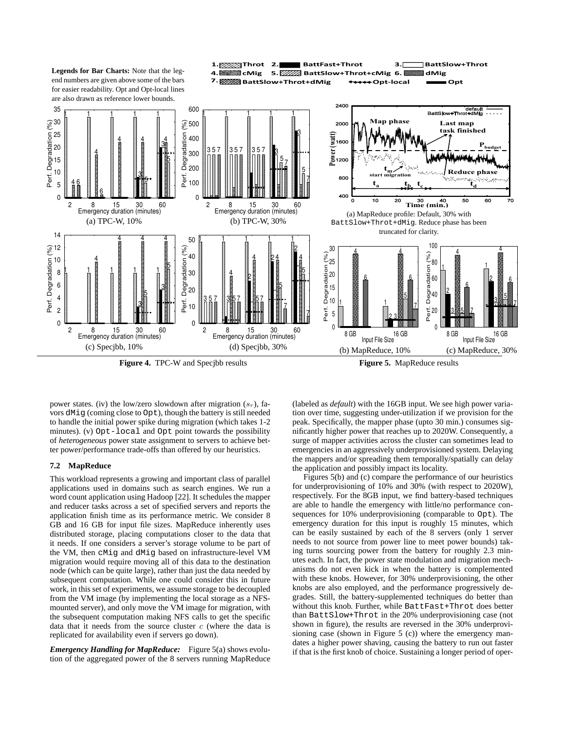

power states. (iv) the low/zero slowdown after migration  $(s_r)$ , favors dMig (coming close to Opt), though the battery is still needed to handle the initial power spike during migration (which takes 1-2 minutes). (v) Opt-local and Opt point towards the possibility of *heterogeneous* power state assignment to servers to achieve better power/performance trade-offs than offered by our heuristics.

## **7.2 MapReduce**

This workload represents a growing and important class of parallel applications used in domains such as search engines. We run a word count application using Hadoop [22]. It schedules the mapper and reducer tasks across a set of specified servers and reports the application finish time as its performance metric. We consider 8 GB and 16 GB for input file sizes. MapReduce inherently uses distributed storage, placing computations closer to the data that it needs. If one considers a server's storage volume to be part of the VM, then cMig and dMig based on infrastructure-level VM migration would require moving all of this data to the destination node (which can be quite large), rather than just the data needed by subsequent computation. While one could consider this in future work, in this set of experiments, we assume storage to be decoupled from the VM image (by implementing the local storage as a NFSmounted server), and only move the VM image for migration, with the subsequent computation making NFS calls to get the specific data that it needs from the source cluster  $c$  (where the data is replicated for availability even if servers go down).

*Emergency Handling for MapReduce:* Figure 5(a) shows evolution of the aggregated power of the 8 servers running MapReduce

(labeled as *default*) with the 16GB input. We see high power variation over time, suggesting under-utilization if we provision for the peak. Specifically, the mapper phase (upto 30 min.) consumes significantly higher power that reaches up to 2020W. Consequently, a surge of mapper activities across the cluster can sometimes lead to emergencies in an aggressively underprovisioned system. Delaying the mappers and/or spreading them temporally/spatially can delay the application and possibly impact its locality.

Figures 5(b) and (c) compare the performance of our heuristics for underprovisioning of 10% and 30% (with respect to 2020W), respectively. For the 8GB input, we find battery-based techniques are able to handle the emergency with little/no performance consequences for 10% underprovisioning (comparable to Opt). The emergency duration for this input is roughly 15 minutes, which can be easily sustained by each of the 8 servers (only 1 server needs to not source from power line to meet power bounds) taking turns sourcing power from the battery for roughly 2.3 minutes each. In fact, the power state modulation and migration mechanisms do not even kick in when the battery is complemented with these knobs. However, for 30% underprovisioning, the other knobs are also employed, and the performance progressively degrades. Still, the battery-supplemented techniques do better than without this knob. Further, while BattFast+Throt does better than BattSlow+Throt in the 20% underprovisioning case (not shown in figure), the results are reversed in the 30% underprovisioning case (shown in Figure 5 (c)) where the emergency mandates a higher power shaving, causing the battery to run out faster if that is the first knob of choice. Sustaining a longer period of oper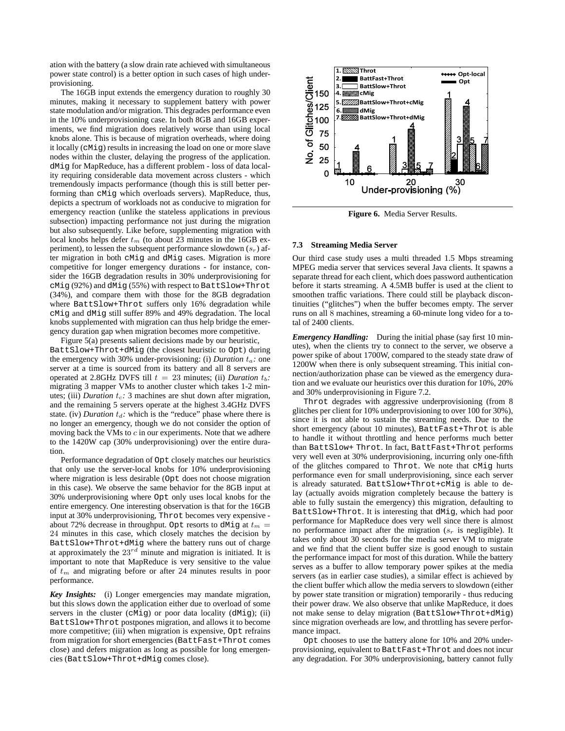ation with the battery (a slow drain rate achieved with simultaneous power state control) is a better option in such cases of high underprovisioning.

The 16GB input extends the emergency duration to roughly 30 minutes, making it necessary to supplement battery with power state modulation and/or migration. This degrades performance even in the 10% underprovisioning case. In both 8GB and 16GB experiments, we find migration does relatively worse than using local knobs alone. This is because of migration overheads, where doing it locally (cMig) results in increasing the load on one or more slave nodes within the cluster, delaying the progress of the application. dMig for MapReduce, has a different problem - loss of data locality requiring considerable data movement across clusters - which tremendously impacts performance (though this is still better performing than cMig which overloads servers). MapReduce, thus, depicts a spectrum of workloads not as conducive to migration for emergency reaction (unlike the stateless applications in previous subsection) impacting performance not just during the migration but also subsequently. Like before, supplementing migration with local knobs helps defer  $t_m$  (to about 23 minutes in the 16GB experiment), to lessen the subsequent performance slowdown  $(s_r)$  after migration in both cMig and dMig cases. Migration is more competitive for longer emergency durations - for instance, consider the 16GB degradation results in 30% underprovisioning for cMig (92%) and dMig (55%) with respect to BattSlow+Throt (34%), and compare them with those for the 8GB degradation where BattSlow+Throt suffers only 16% degradation while cMig and dMig still suffer 89% and 49% degradation. The local knobs supplemented with migration can thus help bridge the emergency duration gap when migration becomes more competitive.

Figure 5(a) presents salient decisions made by our heuristic, BattSlow+Throt+dMig (the closest heuristic to Opt) during the emergency with 30% under-provisioning: (i) *Duration*  $t_a$ : one server at a time is sourced from its battery and all 8 servers are operated at 2.8GHz DVFS till  $t = 23$  minutes; (ii) *Duration*  $t<sub>b</sub>$ : migrating 3 mapper VMs to another cluster which takes 1-2 minutes; (iii) *Duration*  $t_c$ : 3 machines are shut down after migration, and the remaining 5 servers operate at the highest 3.4GHz DVFS state. (iv) *Duration*  $t_d$ : which is the "reduce" phase where there is no longer an emergency, though we do not consider the option of moving back the VMs to  $c$  in our experiments. Note that we adhere to the 1420W cap (30% underprovisioning) over the entire duration.

Performance degradation of Opt closely matches our heuristics that only use the server-local knobs for 10% underprovisioning where migration is less desirable (Opt does not choose migration in this case). We observe the same behavior for the 8GB input at 30% underprovisioning where Opt only uses local knobs for the entire emergency. One interesting observation is that for the 16GB input at 30% underprovisioning, Throt becomes very expensive about 72% decrease in throughput. Opt resorts to dMig at  $t_m =$ 24 minutes in this case, which closely matches the decision by BattSlow+Throt+dMig where the battery runs out of charge at approximately the  $23^{rd}$  minute and migration is initiated. It is important to note that MapReduce is very sensitive to the value of  $t_m$  and migrating before or after 24 minutes results in poor performance.

*Key Insights:* (i) Longer emergencies may mandate migration, but this slows down the application either due to overload of some servers in the cluster (cMig) or poor data locality (dMig); (ii) BattSlow+Throt postpones migration, and allows it to become more competitive; (iii) when migration is expensive, Opt refrains from migration for short emergencies (BattFast+Throt comes close) and defers migration as long as possible for long emergencies (BattSlow+Throt+dMig comes close).



**Figure 6.** Media Server Results.

#### **7.3 Streaming Media Server**

Our third case study uses a multi threaded 1.5 Mbps streaming MPEG media server that services several Java clients. It spawns a separate thread for each client, which does password authentication before it starts streaming. A 4.5MB buffer is used at the client to smoothen traffic variations. There could still be playback discontinuities ("glitches") when the buffer becomes empty. The server runs on all 8 machines, streaming a 60-minute long video for a total of 2400 clients.

*Emergency Handling:* During the initial phase (say first 10 minutes), when the clients try to connect to the server, we observe a power spike of about 1700W, compared to the steady state draw of 1200W when there is only subsequent streaming. This initial connection/authorization phase can be viewed as the emergency duration and we evaluate our heuristics over this duration for 10%, 20% and 30% underprovisioning in Figure 7.2.

Throt degrades with aggressive underprovisioning (from 8 glitches per client for 10% underprovisioning to over 100 for 30%), since it is not able to sustain the streaming needs. Due to the short emergency (about 10 minutes), BattFast+Throt is able to handle it without throttling and hence performs much better than BattSlow+ Throt. In fact, BattFast+Throt performs very well even at 30% underprovisioning, incurring only one-fifth of the glitches compared to Throt. We note that cMig hurts performance even for small underprovisioning, since each server is already saturated. BattSlow+Throt+cMig is able to delay (actually avoids migration completely because the battery is able to fully sustain the emergency) this migration, defaulting to BattSlow+Throt. It is interesting that dMig, which had poor performance for MapReduce does very well since there is almost no performance impact after the migration  $(s<sub>r</sub>$  is negligible). It takes only about 30 seconds for the media server VM to migrate and we find that the client buffer size is good enough to sustain the performance impact for most of this duration. While the battery serves as a buffer to allow temporary power spikes at the media servers (as in earlier case studies), a similar effect is achieved by the client buffer which allow the media servers to slowdown (either by power state transition or migration) temporarily - thus reducing their power draw. We also observe that unlike MapReduce, it does not make sense to delay migration (BattSlow+Throt+dMig) since migration overheads are low, and throttling has severe performance impact.

Opt chooses to use the battery alone for 10% and 20% underprovisioning, equivalent to BattFast+Throt and does not incur any degradation. For 30% underprovisioning, battery cannot fully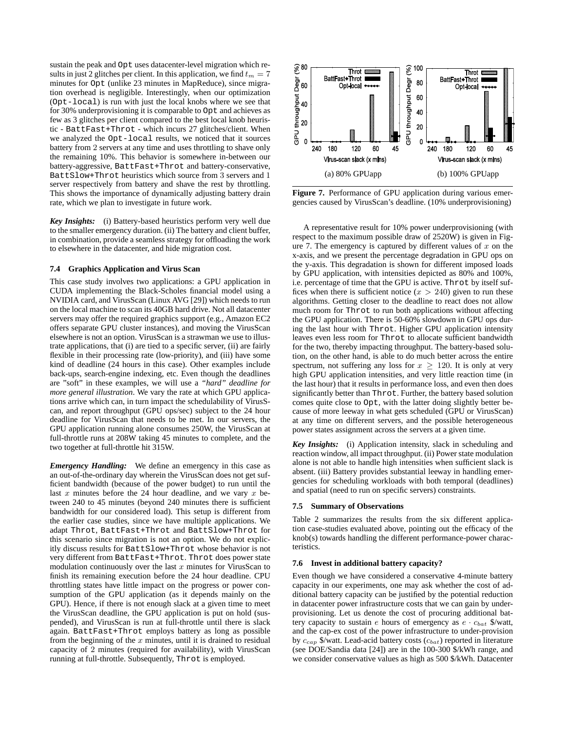sustain the peak and Opt uses datacenter-level migration which results in just 2 glitches per client. In this application, we find  $t_m = 7$ minutes for Opt (unlike 23 minutes in MapReduce), since migration overhead is negligible. Interestingly, when our optimization (Opt-local) is run with just the local knobs where we see that for 30% underprovisioning it is comparable to Opt and achieves as few as 3 glitches per client compared to the best local knob heuristic - BattFast+Throt - which incurs 27 glitches/client. When we analyzed the Opt-local results, we noticed that it sources battery from 2 servers at any time and uses throttling to shave only the remaining 10%. This behavior is somewhere in-between our battery-aggressive, BattFast+Throt and battery-conservative, BattSlow+Throt heuristics which source from 3 servers and 1 server respectively from battery and shave the rest by throttling. This shows the importance of dynamically adjusting battery drain rate, which we plan to investigate in future work.

*Key Insights:* (i) Battery-based heuristics perform very well due to the smaller emergency duration. (ii) The battery and client buffer, in combination, provide a seamless strategy for offloading the work to elsewhere in the datacenter, and hide migration cost.

#### **7.4 Graphics Application and Virus Scan**

This case study involves two applications: a GPU application in CUDA implementing the Black-Scholes financial model using a NVIDIA card, and VirusScan (Linux AVG [29]) which needs to run on the local machine to scan its 40GB hard drive. Not all datacenter servers may offer the required graphics support (e.g., Amazon EC2 offers separate GPU cluster instances), and moving the VirusScan elsewhere is not an option. VirusScan is a strawman we use to illustrate applications, that (i) are tied to a specific server, (ii) are fairly flexible in their processing rate (low-priority), and (iii) have some kind of deadline (24 hours in this case). Other examples include back-ups, search-engine indexing, etc. Even though the deadlines are "soft" in these examples, we will use a *"hard" deadline for more general illustration*. We vary the rate at which GPU applications arrive which can, in turn impact the schedulability of VirusScan, and report throughput (GPU ops/sec) subject to the 24 hour deadline for VirusScan that needs to be met. In our servers, the GPU application running alone consumes 250W, the VirusScan at full-throttle runs at 208W taking 45 minutes to complete, and the two together at full-throttle hit 315W.

*Emergency Handling:* We define an emergency in this case as an out-of-the-ordinary day wherein the VirusScan does not get sufficient bandwidth (because of the power budget) to run until the last x minutes before the 24 hour deadline, and we vary  $x$  between 240 to 45 minutes (beyond 240 minutes there is sufficient bandwidth for our considered load). This setup is different from the earlier case studies, since we have multiple applications. We adapt Throt, BattFast+Throt and BattSlow+Throt for this scenario since migration is not an option. We do not explicitly discuss results for BattSlow+Throt whose behavior is not very different from BattFast+Throt. Throt does power state modulation continuously over the last  $x$  minutes for VirusScan to finish its remaining execution before the 24 hour deadline. CPU throttling states have little impact on the progress or power consumption of the GPU application (as it depends mainly on the GPU). Hence, if there is not enough slack at a given time to meet the VirusScan deadline, the GPU application is put on hold (suspended), and VirusScan is run at full-throttle until there is slack again. BattFast+Throt employs battery as long as possible from the beginning of the  $x$  minutes, until it is drained to residual capacity of 2 minutes (required for availability), with VirusScan running at full-throttle. Subsequently, Throt is employed.



**Figure 7.** Performance of GPU application during various emergencies caused by VirusScan's deadline. (10% underprovisioning)

A representative result for 10% power underprovisioning (with respect to the maximum possible draw of 2520W) is given in Figure 7. The emergency is captured by different values of  $x$  on the x-axis, and we present the percentage degradation in GPU ops on the y-axis. This degradation is shown for different imposed loads by GPU application, with intensities depicted as 80% and 100%, i.e. percentage of time that the GPU is active. Throt by itself suffices when there is sufficient notice  $(x > 240)$  given to run these algorithms. Getting closer to the deadline to react does not allow much room for Throt to run both applications without affecting the GPU application. There is 50-60% slowdown in GPU ops during the last hour with Throt. Higher GPU application intensity leaves even less room for Throt to allocate sufficient bandwidth for the two, thereby impacting throughput. The battery-based solution, on the other hand, is able to do much better across the entire spectrum, not suffering any loss for  $x \ge 120$ . It is only at very high GPU application intensities, and very little reaction time (in the last hour) that it results in performance loss, and even then does significantly better than Throt. Further, the battery based solution comes quite close to Opt, with the latter doing slightly better because of more leeway in what gets scheduled (GPU or VirusScan) at any time on different servers, and the possible heterogeneous power states assignment across the servers at a given time.

*Key Insights:* (i) Application intensity, slack in scheduling and reaction window, all impact throughput. (ii) Power state modulation alone is not able to handle high intensities when sufficient slack is absent. (iii) Battery provides substantial leeway in handling emergencies for scheduling workloads with both temporal (deadlines) and spatial (need to run on specific servers) constraints.

#### **7.5 Summary of Observations**

Table 2 summarizes the results from the six different application case-studies evaluated above, pointing out the efficacy of the knob(s) towards handling the different performance-power characteristics.

# **7.6 Invest in additional battery capacity?**

Even though we have considered a conservative 4-minute battery capacity in our experiments, one may ask whether the cost of additional battery capacity can be justified by the potential reduction in datacenter power infrastructure costs that we can gain by underprovisioning. Let us denote the cost of procuring additional battery capacity to sustain e hours of emergency as  $e \cdot c_{bat}$  \$/watt, and the cap-ex cost of the power infrastructure to under-provision by  $c_{cap}$  \$/watt. Lead-acid battery costs  $(c_{bat})$  reported in literature (see DOE/Sandia data [24]) are in the 100-300 \$/kWh range, and we consider conservative values as high as 500 \$/kWh. Datacenter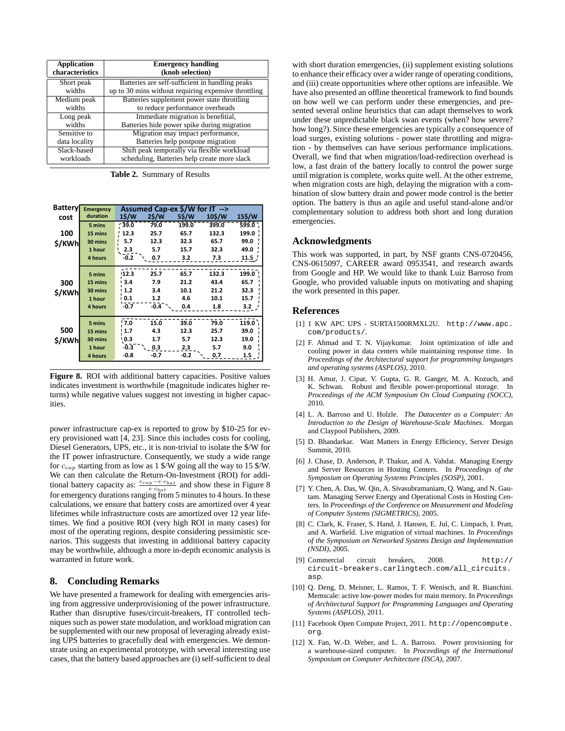| <b>Application</b><br>characteristics | <b>Emergency handling</b><br>(knob selection)        |  |  |  |  |
|---------------------------------------|------------------------------------------------------|--|--|--|--|
| Short peak                            | Batteries are self-sufficient in handling peaks      |  |  |  |  |
| widths                                | up to 30 mins without requiring expensive throttling |  |  |  |  |
| Medium peak                           | Batteries supplement power state throttling          |  |  |  |  |
| widths                                | to reduce performance overheads                      |  |  |  |  |
| Long peak                             | Immediate migration is benefitial,                   |  |  |  |  |
| widths                                | Batteries hide power spike during migration          |  |  |  |  |
| Sensitive to                          | Migration may impact performance,                    |  |  |  |  |
| data locality                         | Batteries help postpone migration                    |  |  |  |  |
| Slack-based                           | Shift peak temporally via flexible workload          |  |  |  |  |
| workloads                             | scheduling, Batteries help create more slack         |  |  |  |  |

**Table 2.** Summary of Results

| <b>Battery</b> | <b>Emergency</b> | Assumed Cap-ex \$/W for IT --> |        |              |        |                   |  |
|----------------|------------------|--------------------------------|--------|--------------|--------|-------------------|--|
| cost           | duration         | $1\frac{2}{3}$ /W              | 25/W   | <b>5\$/W</b> | 10\$/W | 15\$/W            |  |
|                | 5 mins           | $\overline{39.0}$              | 79.0   | 199.0        | 399.0  | 599.0             |  |
| 100            | 15 mins          | 12.3                           | 25.7   | 65.7         | 132.3  | 199.0             |  |
| \$/KWh         | 30 mins          | 5.7                            | 12.3   | 32.3         | 65.7   | 99.0              |  |
|                | 1 hour           | 2.3                            | 5.7    | 15.7         | 32.3   | 49.0              |  |
|                | 4 hours          | $-0.2$                         | 0.7    | 3.2          | 7.3    | 11.5 <sub>2</sub> |  |
|                |                  |                                |        |              |        |                   |  |
|                | 5 mins           | 12.3                           | 25.7   | 65.7         | 132.3  | 199.0             |  |
| 300            | 15 mins          | 3.4                            | 7.9    | 21.2         | 43.4   | 65.7              |  |
| \$/KWh         | 30 mins          | 1.2                            | 3.4    | 10.1         | 21.2   | 32.3              |  |
|                | 1 hour           | 0.1                            | 1.2    | 4.6          | 10.1   | 15.7              |  |
|                | 4 hours          | $-0.7$                         | $-0.4$ | 0.4          | 1.8    | 3.2               |  |
|                |                  |                                |        |              |        |                   |  |
|                | 5 mins           | ! 7.0                          | 15.0   | 39.0         | 79.0   | 119.0             |  |
| 500            | 15 mins          | 1.7                            | 4.3    | 12.3         | 25.7   | 39.0              |  |
| \$/KWh         | 30 mins          | 0.3                            | 1.7    | 5.7          | 12.3   | 19.0              |  |
|                | 1 hour           | $-0.3$                         | 0.3    | 2.3          | 5.7    | 9.0               |  |
|                | 4 hours          | $-0.8$                         | $-0.7$ | $-0.2$       | 0.7    | $1.5\,$           |  |

**Figure 8.** ROI with additional battery capacities. Positive values indicates investment is worthwhile (magnitude indicates higher returns) while negative values suggest not investing in higher capacities.

power infrastructure cap-ex is reported to grow by \$10-25 for every provisioned watt [4, 23]. Since this includes costs for cooling, Diesel Generators, UPS, etc., it is non-trivial to isolate the \$/W for the IT power infrastructure. Consequently, we study a wide range for  $c_{cap}$  starting from as low as 1 \$/W going all the way to 15 \$/W. We can then calculate the Return-On-Investment (ROI) for additional battery capacity as:  $\frac{c_{cap} - e \cdot c_{bat}}{e \cdot c_{bat}}$  and show these in Figure 8 for emergency durations ranging from 5 minutes to 4 hours. In these calculations, we ensure that battery costs are amortized over 4 year lifetimes while infrastructure costs are amortized over 12 year lifetimes. We find a positive ROI (very high ROI in many cases) for most of the operating regions, despite considering pessimistic scenarios. This suggests that investing in additional battery capacity may be worthwhile, although a more in-depth economic analysis is warranted in future work.

# **8. Concluding Remarks**

We have presented a framework for dealing with emergencies arising from aggressive underprovisioning of the power infrastructure. Rather than disruptive fuses/circuit-breakers, IT controlled techniques such as power state modulation, and workload migration can be supplemented with our new proposal of leveraging already existing UPS batteries to gracefully deal with emergencies. We demonstrate using an experimental prototype, with several interesting use cases, that the battery based approaches are (i) self-sufficient to deal

with short duration emergencies, (ii) supplement existing solutions to enhance their efficacy over a wider range of operating conditions, and (iii) create opportunities where other options are infeasible. We have also presented an offline theoretical framework to find bounds on how well we can perform under these emergencies, and presented several online heuristics that can adapt themselves to work under these unpredictable black swan events (when? how severe? how long?). Since these emergencies are typically a consequence of load surges, existing solutions - power state throttling and migration - by themselves can have serious performance implications. Overall, we find that when migration/load-redirection overhead is low, a fast drain of the battery locally to control the power surge until migration is complete, works quite well. At the other extreme, when migration costs are high, delaying the migration with a combination of slow battery drain and power mode control is the better option. The battery is thus an agile and useful stand-alone and/or complementary solution to address both short and long duration emergencies.

#### **Acknowledgments**

This work was supported, in part, by NSF grants CNS-0720456, CNS-0615097, CAREER award 0953541, and research awards from Google and HP. We would like to thank Luiz Barroso from Google, who provided valuable inputs on motivating and shaping the work presented in this paper.

#### **References**

- [1] 1 KW APC UPS SURTA1500RMXL2U. http://www.apc. com/products/.
- [2] F. Ahmad and T. N. Vijaykumar. Joint optimization of idle and cooling power in data centers while maintaining response time. In *Proceedings of the Architectural support for programming languages and operating systems (ASPLOS)*, 2010.
- [3] H. Amur, J. Cipar, V. Gupta, G. R. Ganger, M. A. Kozuch, and K. Schwan. Robust and flexible power-proportional storage. In *Proceedings of the ACM Symposium On Cloud Computing (SOCC)*, 2010.
- [4] L. A. Barroso and U. Holzle. *The Datacenter as a Computer: An Introduction to the Design of Warehouse-Scale Machines*. Morgan and Claypool Publishers, 2009.
- [5] D. Bhandarkar. Watt Matters in Energy Efficiency, Server Design Summit, 2010.
- [6] J. Chase, D. Anderson, P. Thakur, and A. Vahdat. Managing Energy and Server Resources in Hosting Centers. In *Proceedings of the Symposium on Operating Systems Principles (SOSP)*, 2001.
- [7] Y. Chen, A. Das, W. Qin, A. Sivasubramaniam, Q. Wang, and N. Gautam. Managing Server Energy and Operational Costs in Hosting Centers. In *Proceedings of the Conference on Measurement and Modeling of Computer Systems (SIGMETRICS)*, 2005.
- [8] C. Clark, K. Fraser, S. Hand, J. Hansen, E. Jul, C. Limpach, I. Pratt, and A. Warfield. Live migration of virtual machines. In *Proceedings of the Symposium on Networked Systems Design and Implementation (NSDI)*, 2005.
- [9] Commercial circuit breakers, 2008. http:// circuit-breakers.carlingtech.com/all\_circuits. asp.
- [10] O. Deng, D. Meisner, L. Ramos, T. F. Wenisch, and R. Bianchini. Memscale: active low-power modes for main memory. In *Proceedings of Architectural Support for Programming Languages and Operating Systems (ASPLOS)*, 2011.
- [11] Facebook Open Compute Project, 2011. http://opencompute. org.
- [12] X. Fan, W.-D. Weber, and L. A. Barroso. Power provisioning for a warehouse-sized computer. In *Proceedings of the International Symposium on Computer Architecture (ISCA)*, 2007.